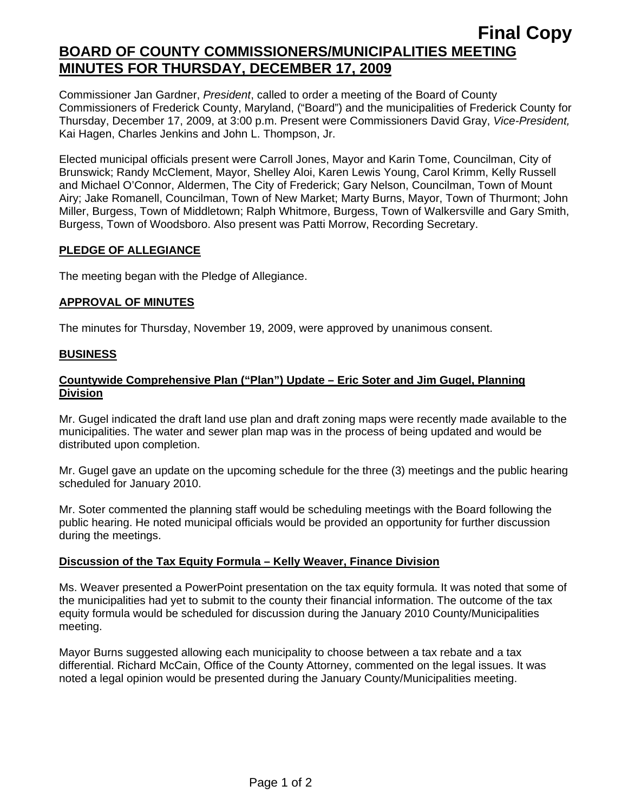# **Final Copy BOARD OF COUNTY COMMISSIONERS/MUNICIPALITIES MEETING MINUTES FOR THURSDAY, DECEMBER 17, 2009**

Commissioner Jan Gardner, *President*, called to order a meeting of the Board of County Commissioners of Frederick County, Maryland, ("Board") and the municipalities of Frederick County for Thursday, December 17, 2009, at 3:00 p.m. Present were Commissioners David Gray, *Vice-President,* Kai Hagen, Charles Jenkins and John L. Thompson, Jr.

Elected municipal officials present were Carroll Jones, Mayor and Karin Tome, Councilman, City of Brunswick; Randy McClement, Mayor, Shelley Aloi, Karen Lewis Young, Carol Krimm, Kelly Russell and Michael O'Connor, Aldermen, The City of Frederick; Gary Nelson, Councilman, Town of Mount Airy; Jake Romanell, Councilman, Town of New Market; Marty Burns, Mayor, Town of Thurmont; John Miller, Burgess, Town of Middletown; Ralph Whitmore, Burgess, Town of Walkersville and Gary Smith, Burgess, Town of Woodsboro. Also present was Patti Morrow, Recording Secretary.

### **PLEDGE OF ALLEGIANCE**

The meeting began with the Pledge of Allegiance.

## **APPROVAL OF MINUTES**

The minutes for Thursday, November 19, 2009, were approved by unanimous consent.

### **BUSINESS**

## **Countywide Comprehensive Plan ("Plan") Update – Eric Soter and Jim Gugel, Planning Division**

Mr. Gugel indicated the draft land use plan and draft zoning maps were recently made available to the municipalities. The water and sewer plan map was in the process of being updated and would be distributed upon completion.

Mr. Gugel gave an update on the upcoming schedule for the three (3) meetings and the public hearing scheduled for January 2010.

Mr. Soter commented the planning staff would be scheduling meetings with the Board following the public hearing. He noted municipal officials would be provided an opportunity for further discussion during the meetings.

## **Discussion of the Tax Equity Formula – Kelly Weaver, Finance Division**

Ms. Weaver presented a PowerPoint presentation on the tax equity formula. It was noted that some of the municipalities had yet to submit to the county their financial information. The outcome of the tax equity formula would be scheduled for discussion during the January 2010 County/Municipalities meeting.

Mayor Burns suggested allowing each municipality to choose between a tax rebate and a tax differential. Richard McCain, Office of the County Attorney, commented on the legal issues. It was noted a legal opinion would be presented during the January County/Municipalities meeting.